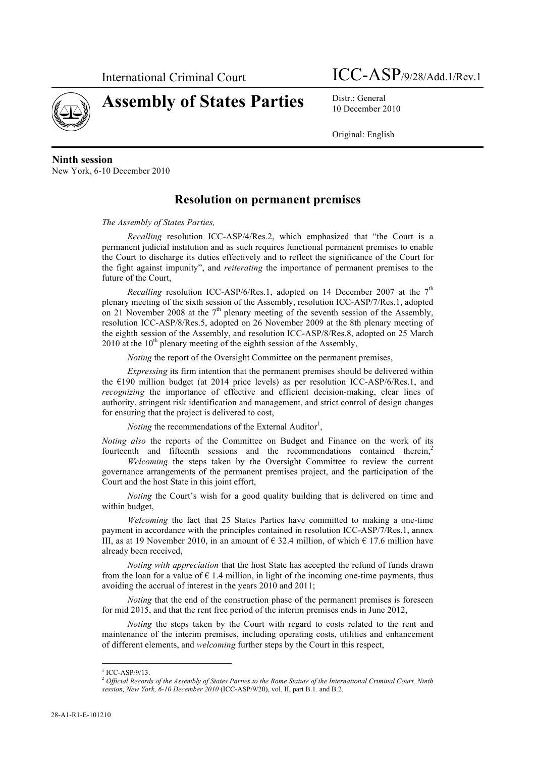

**Assembly of States Parties** Distr.: General

10 December 2010

Original: English

### **Ninth session**

New York, 6-10 December 2010

### **Resolution on permanent premises**

#### *The Assembly of States Parties,*

*Recalling* resolution ICC-ASP/4/Res.2, which emphasized that "the Court is a permanent judicial institution and as such requires functional permanent premises to enable the Court to discharge its duties effectively and to reflect the significance of the Court for the fight against impunity", and *reiterating* the importance of permanent premises to the future of the Court,

*Recalling* resolution ICC-ASP/6/Res.1, adopted on 14 December 2007 at the  $7<sup>th</sup>$ plenary meeting of the sixth session of the Assembly, resolution ICC-ASP/7/Res.1, adopted on 21 November 2008 at the  $7<sup>th</sup>$  plenary meeting of the seventh session of the Assembly, resolution ICC-ASP/8/Res.5, adopted on 26 November 2009 at the 8th plenary meeting of the eighth session of the Assembly, and resolution ICC-ASP/8/Res.8, adopted on 25 March 2010 at the  $10<sup>th</sup>$  plenary meeting of the eighth session of the Assembly,

*Noting* the report of the Oversight Committee on the permanent premises,

*Expressing* its firm intention that the permanent premises should be delivered within the  $E190$  million budget (at 2014 price levels) as per resolution ICC-ASP/6/Res.1, and *recognizing* the importance of effective and efficient decision-making, clear lines of authority, stringent risk identification and management, and strict control of design changes for ensuring that the project is delivered to cost,

*Noting* the recommendations of the External Auditor<sup>1</sup>,

*Noting also* the reports of the Committee on Budget and Finance on the work of its fourteenth and fifteenth sessions and the recommendations contained therein, $<sup>2</sup>$ </sup>

*Welcoming* the steps taken by the Oversight Committee to review the current governance arrangements of the permanent premises project, and the participation of the Court and the host State in this joint effort,

*Noting* the Court's wish for a good quality building that is delivered on time and within budget,

*Welcoming* the fact that 25 States Parties have committed to making a one-time payment in accordance with the principles contained in resolution ICC-ASP/7/Res.1, annex III, as at 19 November 2010, in an amount of  $\epsilon$  32.4 million, of which  $\epsilon$  17.6 million have already been received,

*Noting with appreciation* that the host State has accepted the refund of funds drawn from the loan for a value of  $\epsilon$  1.4 million, in light of the incoming one-time payments, thus avoiding the accrual of interest in the years 2010 and 2011;

*Noting* that the end of the construction phase of the permanent premises is foreseen for mid 2015, and that the rent free period of the interim premises ends in June 2012,

*Noting* the steps taken by the Court with regard to costs related to the rent and maintenance of the interim premises, including operating costs, utilities and enhancement of different elements, and *welcoming* further steps by the Court in this respect,

 $1$  ICC-ASP/9/13.

<sup>2</sup> *Official Records of the Assembly of States Parties to the Rome Statute of the International Criminal Court, Ninth session, New York, 6-10 December 2010* (ICC-ASP/9/20), vol. II, part B.1. and B.2.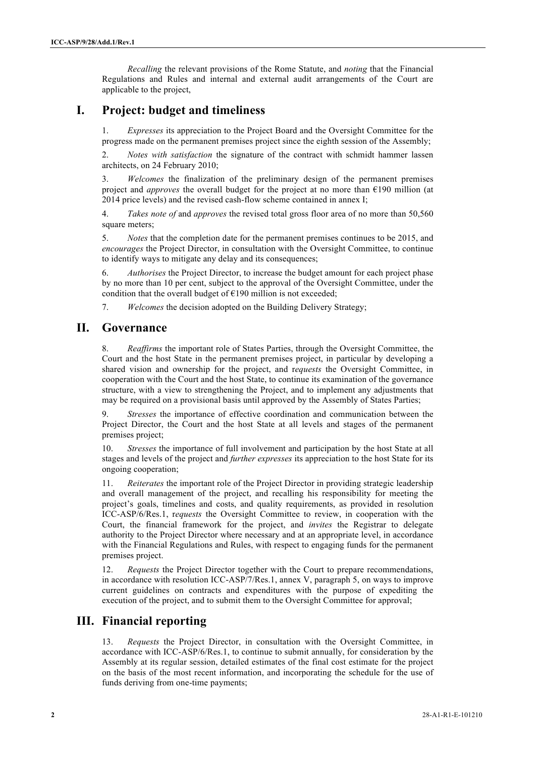*Recalling* the relevant provisions of the Rome Statute, and *noting* that the Financial Regulations and Rules and internal and external audit arrangements of the Court are applicable to the project,

# **I. Project: budget and timeliness**

1. *Expresses* its appreciation to the Project Board and the Oversight Committee for the progress made on the permanent premises project since the eighth session of the Assembly;

2. *Notes with satisfaction* the signature of the contract with schmidt hammer lassen architects, on 24 February 2010;

3. *Welcomes* the finalization of the preliminary design of the permanent premises project and *approves* the overall budget for the project at no more than  $E$ 190 million (at 2014 price levels) and the revised cash-flow scheme contained in annex I;

4. *Takes note of* and *approves* the revised total gross floor area of no more than 50,560 square meters;

5. *Notes* that the completion date for the permanent premises continues to be 2015, and *encourages* the Project Director, in consultation with the Oversight Committee, to continue to identify ways to mitigate any delay and its consequences;

6. *Authorises* the Project Director, to increase the budget amount for each project phase by no more than 10 per cent, subject to the approval of the Oversight Committee, under the condition that the overall budget of  $E$ 190 million is not exceeded;

7. *Welcomes* the decision adopted on the Building Delivery Strategy;

### **II. Governance**

8. *Reaffirms* the important role of States Parties, through the Oversight Committee, the Court and the host State in the permanent premises project, in particular by developing a shared vision and ownership for the project, and r*equests* the Oversight Committee, in cooperation with the Court and the host State, to continue its examination of the governance structure, with a view to strengthening the Project, and to implement any adjustments that may be required on a provisional basis until approved by the Assembly of States Parties;

9. *Stresses* the importance of effective coordination and communication between the Project Director, the Court and the host State at all levels and stages of the permanent premises project;

*Stresses* the importance of full involvement and participation by the host State at all stages and levels of the project and *further expresses* its appreciation to the host State for its ongoing cooperation;

11. *Reiterates* the important role of the Project Director in providing strategic leadership and overall management of the project, and recalling his responsibility for meeting the project's goals, timelines and costs, and quality requirements, as provided in resolution ICC-ASP/6/Res.1, r*equests* the Oversight Committee to review, in cooperation with the Court, the financial framework for the project, and *invites* the Registrar to delegate authority to the Project Director where necessary and at an appropriate level, in accordance with the Financial Regulations and Rules, with respect to engaging funds for the permanent premises project.

12. *Requests* the Project Director together with the Court to prepare recommendations, in accordance with resolution ICC-ASP/7/Res.1, annex V, paragraph 5, on ways to improve current guidelines on contracts and expenditures with the purpose of expediting the execution of the project, and to submit them to the Oversight Committee for approval;

# **III. Financial reporting**

13. *Requests* the Project Director, in consultation with the Oversight Committee, in accordance with ICC-ASP/6/Res.1, to continue to submit annually, for consideration by the Assembly at its regular session, detailed estimates of the final cost estimate for the project on the basis of the most recent information, and incorporating the schedule for the use of funds deriving from one-time payments;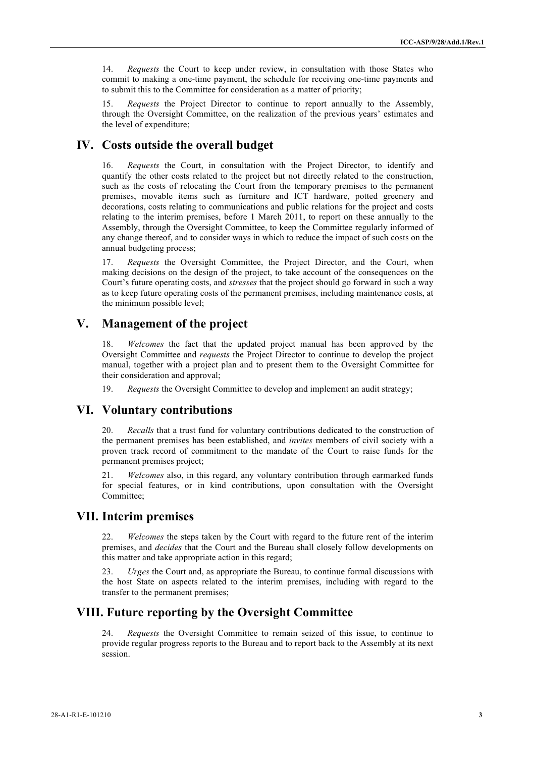14. *Requests* the Court to keep under review, in consultation with those States who commit to making a one-time payment, the schedule for receiving one-time payments and to submit this to the Committee for consideration as a matter of priority;

15. *Requests* the Project Director to continue to report annually to the Assembly, through the Oversight Committee, on the realization of the previous years' estimates and the level of expenditure;

### **IV. Costs outside the overall budget**

16. *Requests* the Court, in consultation with the Project Director, to identify and quantify the other costs related to the project but not directly related to the construction, such as the costs of relocating the Court from the temporary premises to the permanent premises, movable items such as furniture and ICT hardware, potted greenery and decorations, costs relating to communications and public relations for the project and costs relating to the interim premises, before 1 March 2011, to report on these annually to the Assembly, through the Oversight Committee, to keep the Committee regularly informed of any change thereof, and to consider ways in which to reduce the impact of such costs on the annual budgeting process;

17. *Requests* the Oversight Committee, the Project Director, and the Court, when making decisions on the design of the project, to take account of the consequences on the Court's future operating costs, and *stresses* that the project should go forward in such a way as to keep future operating costs of the permanent premises, including maintenance costs, at the minimum possible level;

# **V. Management of the project**

18. *Welcomes* the fact that the updated project manual has been approved by the Oversight Committee and *requests* the Project Director to continue to develop the project manual, together with a project plan and to present them to the Oversight Committee for their consideration and approval;

19. *Requests* the Oversight Committee to develop and implement an audit strategy;

#### **VI. Voluntary contributions**

20. *Recalls* that a trust fund for voluntary contributions dedicated to the construction of the permanent premises has been established, and *invites* members of civil society with a proven track record of commitment to the mandate of the Court to raise funds for the permanent premises project;

21. *Welcomes* also, in this regard, any voluntary contribution through earmarked funds for special features, or in kind contributions, upon consultation with the Oversight Committee;

#### **VII. Interim premises**

22. *Welcomes* the steps taken by the Court with regard to the future rent of the interim premises, and *decides* that the Court and the Bureau shall closely follow developments on this matter and take appropriate action in this regard;

23. *Urges* the Court and, as appropriate the Bureau, to continue formal discussions with the host State on aspects related to the interim premises, including with regard to the transfer to the permanent premises;

# **VIII. Future reporting by the Oversight Committee**

24. *Requests* the Oversight Committee to remain seized of this issue, to continue to provide regular progress reports to the Bureau and to report back to the Assembly at its next session.